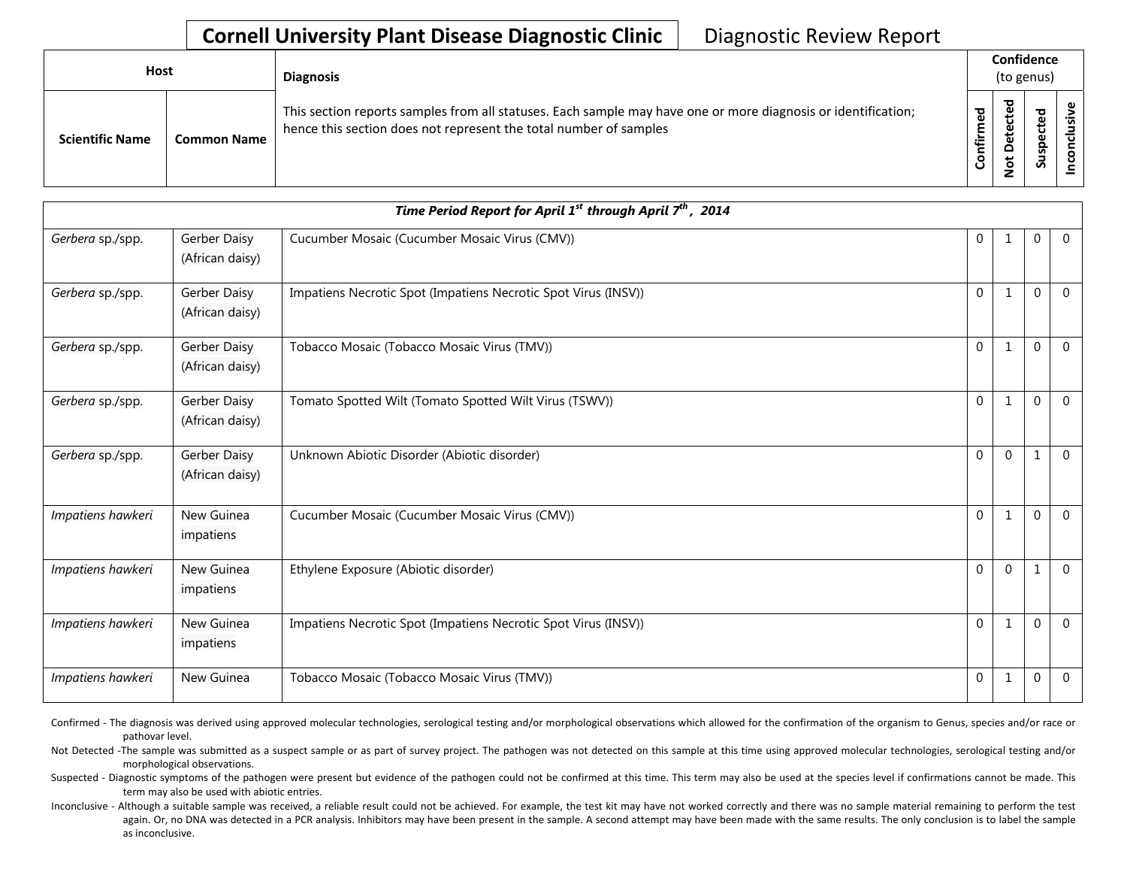## **Cornell University Plant Disease Diagnostic Clinic** | Diagnostic Review Report

| Host                   |                    | <b>Diagnosis</b>                                                                                                                                                                   | Confidence<br>(to genus) |                                         |                            |    |
|------------------------|--------------------|------------------------------------------------------------------------------------------------------------------------------------------------------------------------------------|--------------------------|-----------------------------------------|----------------------------|----|
| <b>Scientific Name</b> | <b>Common Name</b> | This section reports samples from all statuses. Each sample may have one or more diagnosis or identification;<br>hence this section does not represent the total number of samples | ᅙ<br>Ē<br>nfir<br>ပ      | ᇰ<br>ይ<br>ں<br>ይ<br>۵<br>پ<br>$\dot{ }$ | ᅙ<br>Φ<br>ω<br>요<br>s<br>S | .2 |

| Time Period Report for April 1 <sup>st</sup> through April 7 <sup>th</sup> , 2014 |                                 |                                                                |                |                |              |                |  |
|-----------------------------------------------------------------------------------|---------------------------------|----------------------------------------------------------------|----------------|----------------|--------------|----------------|--|
| Gerbera sp./spp.                                                                  | Gerber Daisy<br>(African daisy) | Cucumber Mosaic (Cucumber Mosaic Virus (CMV))                  | $\overline{0}$ |                | 0            | $\mathbf{0}$   |  |
| Gerbera sp./spp.                                                                  | Gerber Daisy<br>(African daisy) | Impatiens Necrotic Spot (Impatiens Necrotic Spot Virus (INSV)) | $\mathbf{0}$   | 1              | $\Omega$     | $\overline{0}$ |  |
| Gerbera sp./spp.                                                                  | Gerber Daisy<br>(African daisy) | Tobacco Mosaic (Tobacco Mosaic Virus (TMV))                    | $\Omega$       | $\mathbf{1}$   | $\theta$     | $\Omega$       |  |
| Gerbera sp./spp.                                                                  | Gerber Daisy<br>(African daisy) | Tomato Spotted Wilt (Tomato Spotted Wilt Virus (TSWV))         | $\overline{0}$ | 1              | $\Omega$     | $\overline{0}$ |  |
| Gerbera sp./spp.                                                                  | Gerber Daisy<br>(African daisy) | Unknown Abiotic Disorder (Abiotic disorder)                    | $\mathbf{0}$   | $\overline{0}$ | $\mathbf{1}$ | $\overline{0}$ |  |
| Impatiens hawkeri                                                                 | New Guinea<br>impatiens         | Cucumber Mosaic (Cucumber Mosaic Virus (CMV))                  | $\Omega$       | $\mathbf{1}$   | $\Omega$     | $\Omega$       |  |
| Impatiens hawkeri                                                                 | New Guinea<br>impatiens         | Ethylene Exposure (Abiotic disorder)                           | $\Omega$       | $\Omega$       | 1            | $\Omega$       |  |
| Impatiens hawkeri                                                                 | New Guinea<br>impatiens         | Impatiens Necrotic Spot (Impatiens Necrotic Spot Virus (INSV)) | $\mathbf{0}$   | 1              | $\Omega$     | $\mathbf{0}$   |  |
| Impatiens hawkeri                                                                 | New Guinea                      | Tobacco Mosaic (Tobacco Mosaic Virus (TMV))                    | $\mathbf{0}$   | $\mathbf{1}$   | $\Omega$     | $\overline{0}$ |  |

Confirmed - The diagnosis was derived using approved molecular technologies, serological testing and/or morphological observations which allowed for the confirmation of the organism to Genus, species and/or race or pathovar level.

Not Detected -The sample was submitted as a suspect sample or as part of survey project. The pathogen was not detected on this sample at this time using approved molecular technologies, serological testing and/or morphological observations.

Suspected - Diagnostic symptoms of the pathogen were present but evidence of the pathogen could not be confirmed at this time. This term may also be used at the species level if confirmations cannot be made. This term may also be used with abiotic entries.

Inconclusive - Although a suitable sample was received, a reliable result could not be achieved. For example, the test kit may have not worked correctly and there was no sample material remaining to perform the test again. Or, no DNA was detected in a PCR analysis. Inhibitors may have been present in the sample. A second attempt may have been made with the same results. The only conclusion is to label the sample as inconclusive.